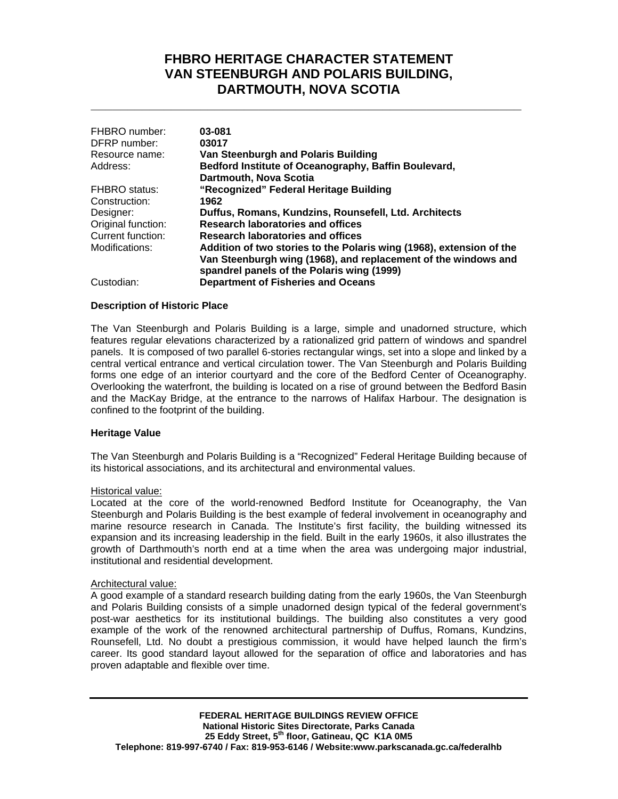# **FHBRO HERITAGE CHARACTER STATEMENT VAN STEENBURGH AND POLARIS BUILDING, DARTMOUTH, NOVA SCOTIA**

**\_\_\_\_\_\_\_\_\_\_\_\_\_\_\_\_\_\_\_\_\_\_\_\_\_\_\_\_\_\_\_\_\_\_\_\_\_\_\_\_\_\_\_\_\_\_\_\_\_\_\_\_\_\_\_\_\_\_\_**

| FHBRO number:        | 03-081                                                                                                       |
|----------------------|--------------------------------------------------------------------------------------------------------------|
| DFRP number:         | 03017                                                                                                        |
| Resource name:       | Van Steenburgh and Polaris Building                                                                          |
| Address:             | Bedford Institute of Oceanography, Baffin Boulevard,                                                         |
|                      | Dartmouth, Nova Scotia                                                                                       |
| <b>FHBRO</b> status: | "Recognized" Federal Heritage Building                                                                       |
| Construction:        | 1962                                                                                                         |
| Designer:            | Duffus, Romans, Kundzins, Rounsefell, Ltd. Architects                                                        |
| Original function:   | <b>Research laboratories and offices</b>                                                                     |
| Current function:    | <b>Research laboratories and offices</b>                                                                     |
| Modifications:       | Addition of two stories to the Polaris wing (1968), extension of the                                         |
|                      | Van Steenburgh wing (1968), and replacement of the windows and<br>spandrel panels of the Polaris wing (1999) |
| Custodian:           | <b>Department of Fisheries and Oceans</b>                                                                    |

### **Description of Historic Place**

The Van Steenburgh and Polaris Building is a large, simple and unadorned structure, which features regular elevations characterized by a rationalized grid pattern of windows and spandrel panels. It is composed of two parallel 6-stories rectangular wings, set into a slope and linked by a central vertical entrance and vertical circulation tower. The Van Steenburgh and Polaris Building forms one edge of an interior courtyard and the core of the Bedford Center of Oceanography. Overlooking the waterfront, the building is located on a rise of ground between the Bedford Basin and the MacKay Bridge, at the entrance to the narrows of Halifax Harbour. The designation is confined to the footprint of the building.

#### **Heritage Value**

The Van Steenburgh and Polaris Building is a "Recognized" Federal Heritage Building because of its historical associations, and its architectural and environmental values.

#### Historical value:

Located at the core of the world-renowned Bedford Institute for Oceanography, the Van Steenburgh and Polaris Building is the best example of federal involvement in oceanography and marine resource research in Canada. The Institute's first facility, the building witnessed its expansion and its increasing leadership in the field. Built in the early 1960s, it also illustrates the growth of Darthmouth's north end at a time when the area was undergoing major industrial, institutional and residential development.

#### Architectural value:

A good example of a standard research building dating from the early 1960s, the Van Steenburgh and Polaris Building consists of a simple unadorned design typical of the federal government's post-war aesthetics for its institutional buildings. The building also constitutes a very good example of the work of the renowned architectural partnership of Duffus, Romans, Kundzins, Rounsefell, Ltd. No doubt a prestigious commission, it would have helped launch the firm's career. Its good standard layout allowed for the separation of office and laboratories and has proven adaptable and flexible over time.